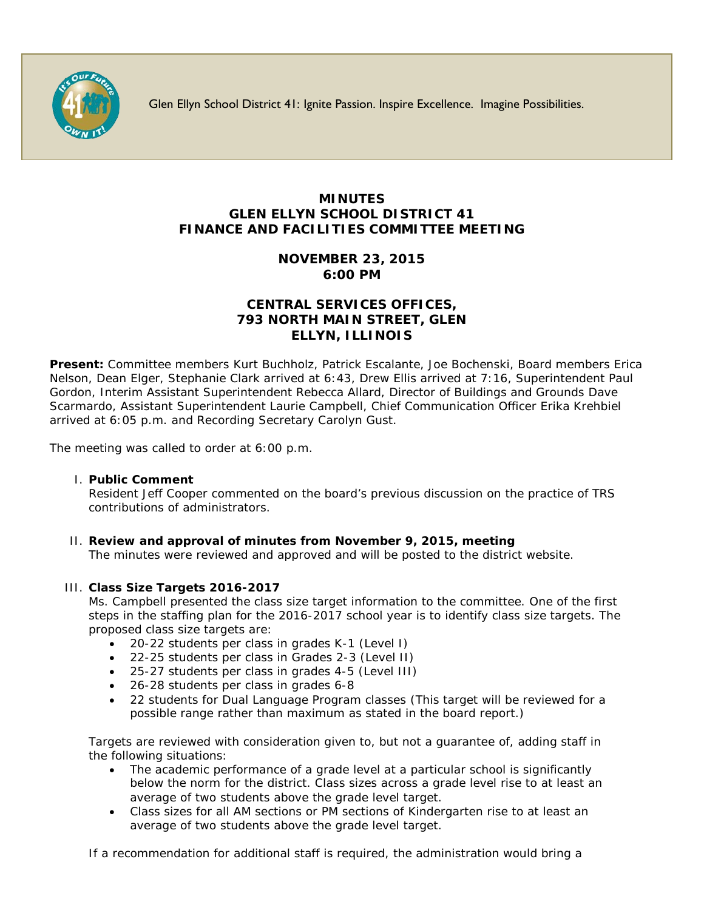

Glen Ellyn School District 41: Ignite Passion. Inspire Excellence. Imagine Possibilities.

## **MINUTES GLEN ELLYN SCHOOL DISTRICT 41 FINANCE AND FACILITIES COMMITTEE MEETING**

## **NOVEMBER 23, 2015 6:00 PM**

## **CENTRAL SERVICES OFFICES, 793 NORTH MAIN STREET, GLEN ELLYN, ILLINOIS**

**Present:** Committee members Kurt Buchholz, Patrick Escalante, Joe Bochenski, Board members Erica Nelson, Dean Elger, Stephanie Clark arrived at 6:43, Drew Ellis arrived at 7:16, Superintendent Paul Gordon, Interim Assistant Superintendent Rebecca Allard, Director of Buildings and Grounds Dave Scarmardo, Assistant Superintendent Laurie Campbell, Chief Communication Officer [Erika Krehbiel](http://www.d41.org/contact_email.asp?id=ekrehbiel&n=Erika_Krehbiel) arrived at 6:05 p.m. and Recording Secretary Carolyn Gust.

The meeting was called to order at 6:00 p.m.

### I. **Public Comment**

Resident Jeff Cooper commented on the board's previous discussion on the practice of TRS contributions of administrators.

# II. **Review and approval of minutes from November 9, 2015, meeting**

The minutes were reviewed and approved and will be posted to the district website.

## III. **Class Size Targets 2016-2017**

Ms. Campbell presented the class size target information to the committee. One of the first steps in the staffing plan for the 2016-2017 school year is to identify class size targets. The proposed class size targets are:

- 20-22 students per class in grades K-1 (Level I)
- 22-25 students per class in Grades 2-3 (Level II)
- 25-27 students per class in grades 4-5 (Level III)
- 26-28 students per class in grades 6-8
- 22 students for Dual Language Program classes (This target will be reviewed for a possible range rather than maximum as stated in the board report.)

Targets are reviewed with consideration given to, but not a guarantee of, adding staff in the following situations:

- The academic performance of a grade level at a particular school is significantly below the norm for the district. Class sizes across a grade level rise to at least an average of two students above the grade level target.
- Class sizes for all AM sections or PM sections of Kindergarten rise to at least an average of two students above the grade level target.

If a recommendation for additional staff is required, the administration would bring a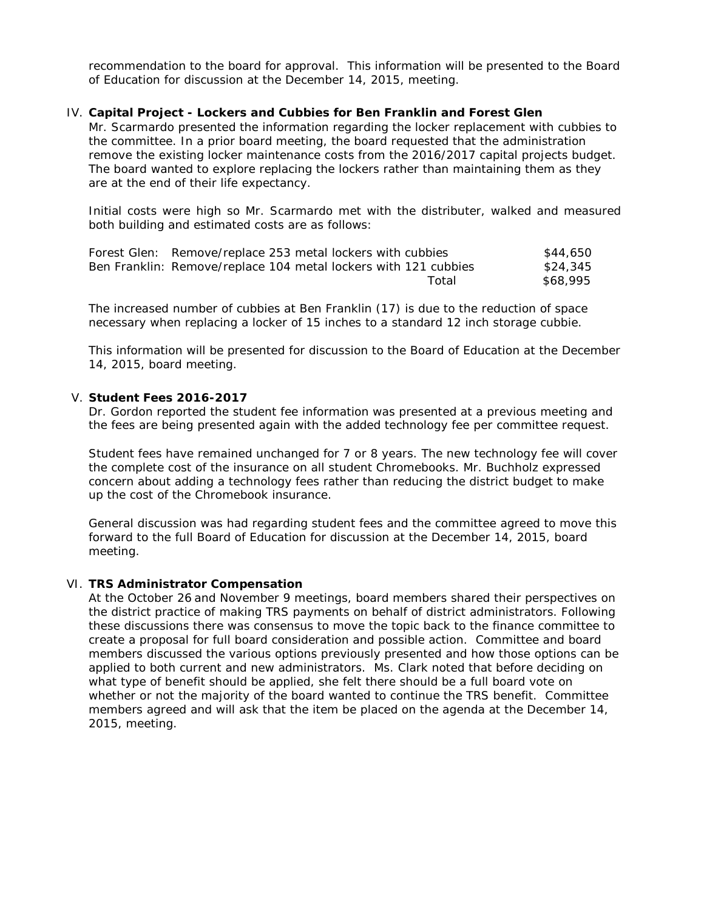recommendation to the board for approval. This information will be presented to the Board of Education for discussion at the December 14, 2015, meeting.

#### IV. **Capital Project - Lockers and Cubbies for Ben Franklin and Forest Glen**

Mr. Scarmardo presented the information regarding the locker replacement with cubbies to the committee. In a prior board meeting, the board requested that the administration remove the existing locker maintenance costs from the 2016/2017 capital projects budget. The board wanted to explore replacing the lockers rather than maintaining them as they are at the end of their life expectancy.

Initial costs were high so Mr. Scarmardo met with the distributer, walked and measured both building and estimated costs are as follows:

| Forest Glen: Remove/replace 253 metal lockers with cubbies      |       | \$44,650 |
|-----------------------------------------------------------------|-------|----------|
| Ben Franklin: Remove/replace 104 metal lockers with 121 cubbies |       | \$24.345 |
|                                                                 | Total | \$68.995 |

The increased number of cubbies at Ben Franklin (17) is due to the reduction of space necessary when replacing a locker of 15 inches to a standard 12 inch storage cubbie.

This information will be presented for discussion to the Board of Education at the December 14, 2015, board meeting.

#### V. **Student Fees 2016-2017**

Dr. Gordon reported the student fee information was presented at a previous meeting and the fees are being presented again with the added technology fee per committee request.

Student fees have remained unchanged for 7 or 8 years. The new technology fee will cover the complete cost of the insurance on all student Chromebooks. Mr. Buchholz expressed concern about adding a technology fees rather than reducing the district budget to make up the cost of the Chromebook insurance.

General discussion was had regarding student fees and the committee agreed to move this forward to the full Board of Education for discussion at the December 14, 2015, board meeting.

#### VI. **TRS Administrator Compensation**

At the October 26 and November 9 meetings, board members shared their perspectives on the district practice of making TRS payments on behalf of district administrators. Following these discussions there was consensus to move the topic back to the finance committee to create a proposal for full board consideration and possible action. Committee and board members discussed the various options previously presented and how those options can be applied to both current and new administrators. Ms. Clark noted that before deciding on what type of benefit should be applied, she felt there should be a full board vote on whether or not the majority of the board wanted to continue the TRS benefit. Committee members agreed and will ask that the item be placed on the agenda at the December 14, 2015, meeting.